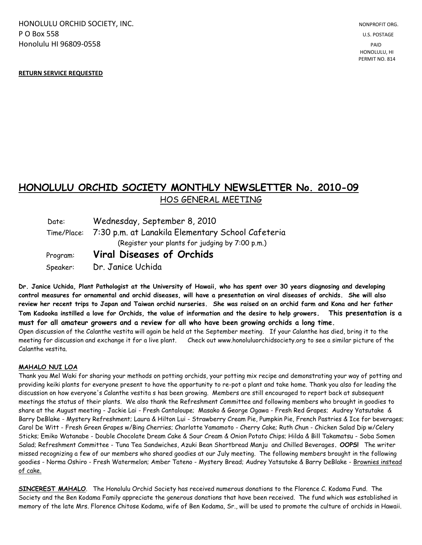HONOLULU ORCHID SOCIETY. INC. NONPROFIT ORG. NONPROFIT ORG. **P O Box 558** U.S. POSTAGE Honolulu HI 96809-0558 PAID

PERMIT NO. 814

## **RETURN SERVICE REQUESTED**

## **HONOLULU ORCHID SOCIETY MONTHLY NEWSLETTER No. 2010-09**  HOS GENERAL MEETING

| Date:    | Wednesday, September 8, 2010                                  |
|----------|---------------------------------------------------------------|
|          | Time/Place: 7:30 p.m. at Lanakila Elementary School Cafeteria |
|          | (Register your plants for judging by 7:00 p.m.)               |
| Program: | <b>Viral Diseases of Orchids</b>                              |
| Speaker: | Dr. Janice Uchida                                             |

**Dr. Janice Uchida, Plant Pathologist at the University of Hawaii, who has spent over 30 years diagnosing and developing control measures for ornamental and orchid diseases, will have a presentation on viral diseases of orchids. She will also review her recent trips to Japan and Taiwan orchid nurseries. She was raised on an orchid farm and Kona and her father Tom Kadooka instilled a love for Orchids, the value of information and the desire to help growers. This presentation is a must for all amateur growers and a review for all who have been growing orchids a long time.** Open discussion of the Calanthe vestita will again be held at the September meeting. If your Calanthe has died, bring it to the meeting for discussion and exchange it for a live plant. Check out www.honoluluorchidsociety.org to see a similar picture of the

## **MAHALO NUI LOA**

Calanthe vestita.

Thank you Mel Waki for sharing your methods on potting orchids, your potting mix recipe and demonstrating your way of potting and providing keiki plants for everyone present to have the opportunity to re-pot a plant and take home. Thank you also for leading the discussion on how everyone's Calanthe vestita s has been growing. Members are still encouraged to report back at subsequent meetings the status of their plants. We also thank the Refreshment Committee and following members who brought in goodies to share at the August meeting - Jackie Lai - Fresh Cantaloupe; Masako & George Ogawa - Fresh Red Grapes; Audrey Yatsutake & Barry DeBlake - Mystery Refreshment; Laura & Hilton Lui - Strawberry Cream Pie, Pumpkin Pie, French Pastries & Ice for beverages; Carol De Witt - Fresh Green Grapes w/Bing Cherries; Charlotte Yamamoto - Cherry Cake; Ruth Chun - Chicken Salad Dip w/Celery Sticks; Emiko Watanabe - Double Chocolate Dream Cake & Sour Cream & Onion Potato Chips; Hilda & Bill Takamatsu - Soba Somen Salad; Refreshment Committee - Tuna Tea Sandwiches, Azuki Bean Shortbread Manju and Chilled Beverages**. OOPS!** The writer missed recognizing a few of our members who shared goodies at our July meeting. The following members brought in the following goodies - Norma Oshiro - Fresh Watermelon; Amber Tateno - Mystery Bread; Audrey Yatsutake & Barry DeBlake - Brownies instead of cake.

**SINCEREST MAHALO**. The Honolulu Orchid Society has received numerous donations to the Florence C. Kodama Fund. The Society and the Ben Kodama Family appreciate the generous donations that have been received. The fund which was established in memory of the late Mrs. Florence Chitose Kodama, wife of Ben Kodama, Sr., will be used to promote the culture of orchids in Hawaii.